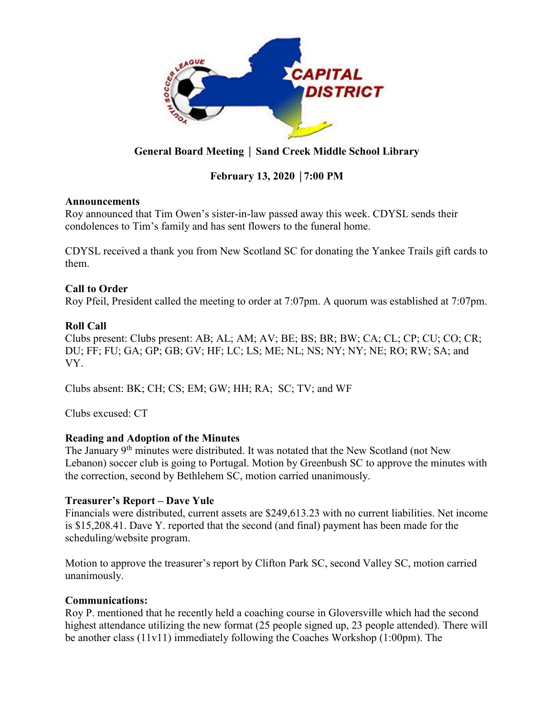

## **General Board Meeting** │ **Sand Creek Middle School Library**

## **February 13, 2020** │**7:00 PM**

#### **Announcements**

Roy announced that Tim Owen's sister-in-law passed away this week. CDYSL sends their condolences to Tim's family and has sent flowers to the funeral home.

CDYSL received a thank you from New Scotland SC for donating the Yankee Trails gift cards to them.

## **Call to Order**

Roy Pfeil, President called the meeting to order at 7:07pm. A quorum was established at 7:07pm.

## **Roll Call**

Clubs present: Clubs present: AB; AL; AM; AV; BE; BS; BR; BW; CA; CL; CP; CU; CO; CR; DU; FF; FU; GA; GP; GB; GV; HF; LC; LS; ME; NL; NS; NY; NY; NE; RO; RW; SA; and VY.

Clubs absent: BK; CH; CS; EM; GW; HH; RA; SC; TV; and WF

Clubs excused: CT

## **Reading and Adoption of the Minutes**

The January 9<sup>th</sup> minutes were distributed. It was notated that the New Scotland (not New Lebanon) soccer club is going to Portugal. Motion by Greenbush SC to approve the minutes with the correction, second by Bethlehem SC, motion carried unanimously.

#### **Treasurer's Report – Dave Yule**

Financials were distributed, current assets are \$249,613.23 with no current liabilities. Net income is \$15,208.41. Dave Y. reported that the second (and final) payment has been made for the scheduling/website program.

Motion to approve the treasurer's report by Clifton Park SC, second Valley SC, motion carried unanimously.

#### **Communications:**

Roy P. mentioned that he recently held a coaching course in Gloversville which had the second highest attendance utilizing the new format (25 people signed up, 23 people attended). There will be another class (11v11) immediately following the Coaches Workshop (1:00pm). The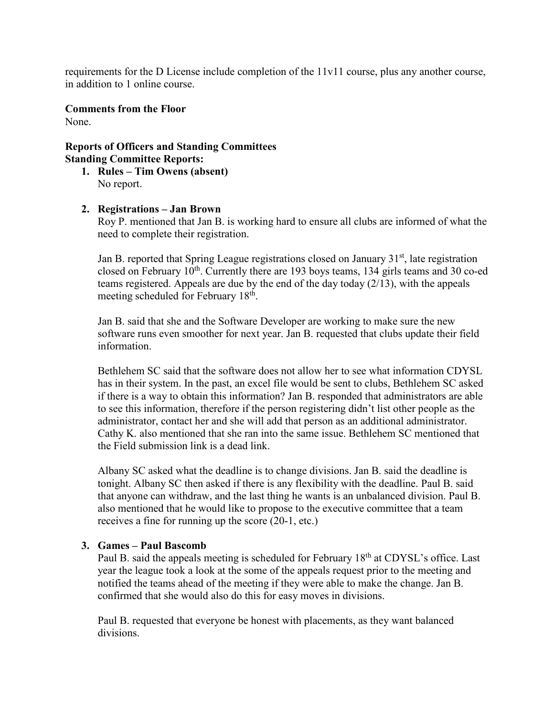requirements for the D License include completion of the 11v11 course, plus any another course, in addition to 1 online course.

**Comments from the Floor** None.

**Reports of Officers and Standing Committees Standing Committee Reports:**

- **1. Rules – Tim Owens (absent)** No report.
- **2. Registrations – Jan Brown**

Roy P. mentioned that Jan B. is working hard to ensure all clubs are informed of what the need to complete their registration.

Jan B. reported that Spring League registrations closed on January  $31<sup>st</sup>$ , late registration closed on February  $10^{th}$ . Currently there are 193 boys teams, 134 girls teams and 30 co-ed teams registered. Appeals are due by the end of the day today (2/13), with the appeals meeting scheduled for February 18<sup>th</sup>.

Jan B. said that she and the Software Developer are working to make sure the new software runs even smoother for next year. Jan B. requested that clubs update their field information.

Bethlehem SC said that the software does not allow her to see what information CDYSL has in their system. In the past, an excel file would be sent to clubs, Bethlehem SC asked if there is a way to obtain this information? Jan B. responded that administrators are able to see this information, therefore if the person registering didn't list other people as the administrator, contact her and she will add that person as an additional administrator. Cathy K. also mentioned that she ran into the same issue. Bethlehem SC mentioned that the Field submission link is a dead link.

Albany SC asked what the deadline is to change divisions. Jan B. said the deadline is tonight. Albany SC then asked if there is any flexibility with the deadline. Paul B. said that anyone can withdraw, and the last thing he wants is an unbalanced division. Paul B. also mentioned that he would like to propose to the executive committee that a team receives a fine for running up the score (20-1, etc.)

#### **3. Games – Paul Bascomb**

Paul B. said the appeals meeting is scheduled for February 18<sup>th</sup> at CDYSL's office. Last year the league took a look at the some of the appeals request prior to the meeting and notified the teams ahead of the meeting if they were able to make the change. Jan B. confirmed that she would also do this for easy moves in divisions.

Paul B. requested that everyone be honest with placements, as they want balanced divisions.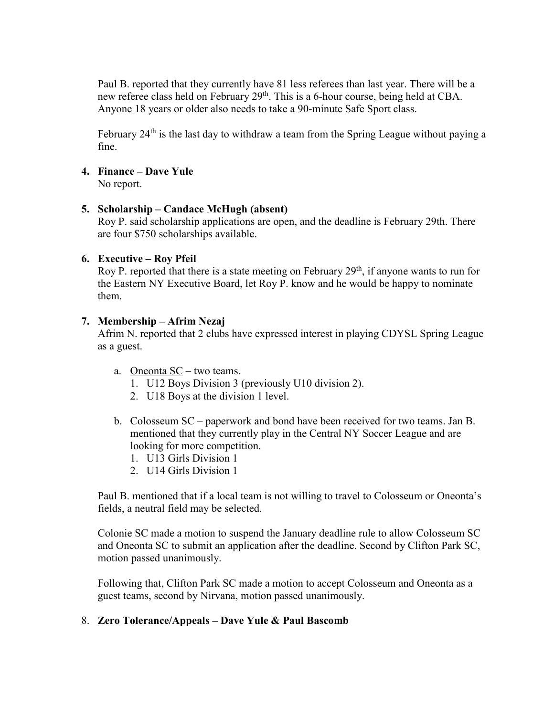Paul B. reported that they currently have 81 less referees than last year. There will be a new referee class held on February 29<sup>th</sup>. This is a 6-hour course, being held at CBA. Anyone 18 years or older also needs to take a 90-minute Safe Sport class.

February  $24<sup>th</sup>$  is the last day to withdraw a team from the Spring League without paying a fine.

#### **4. Finance – Dave Yule**

No report.

#### **5. Scholarship – Candace McHugh (absent)**

Roy P. said scholarship applications are open, and the deadline is February 29th. There are four \$750 scholarships available.

#### **6. Executive – Roy Pfeil**

Roy P. reported that there is a state meeting on February  $29<sup>th</sup>$ , if anyone wants to run for the Eastern NY Executive Board, let Roy P. know and he would be happy to nominate them.

#### **7. Membership – Afrim Nezaj**

Afrim N. reported that 2 clubs have expressed interest in playing CDYSL Spring League as a guest.

- a. Oneonta SC two teams.
	- 1. U12 Boys Division 3 (previously U10 division 2).
	- 2. U18 Boys at the division 1 level.
- b. Colosseum SC paperwork and bond have been received for two teams. Jan B. mentioned that they currently play in the Central NY Soccer League and are looking for more competition.
	- 1. U13 Girls Division 1
	- 2. U14 Girls Division 1

Paul B. mentioned that if a local team is not willing to travel to Colosseum or Oneonta's fields, a neutral field may be selected.

Colonie SC made a motion to suspend the January deadline rule to allow Colosseum SC and Oneonta SC to submit an application after the deadline. Second by Clifton Park SC, motion passed unanimously.

Following that, Clifton Park SC made a motion to accept Colosseum and Oneonta as a guest teams, second by Nirvana, motion passed unanimously.

#### 8. **Zero Tolerance/Appeals – Dave Yule & Paul Bascomb**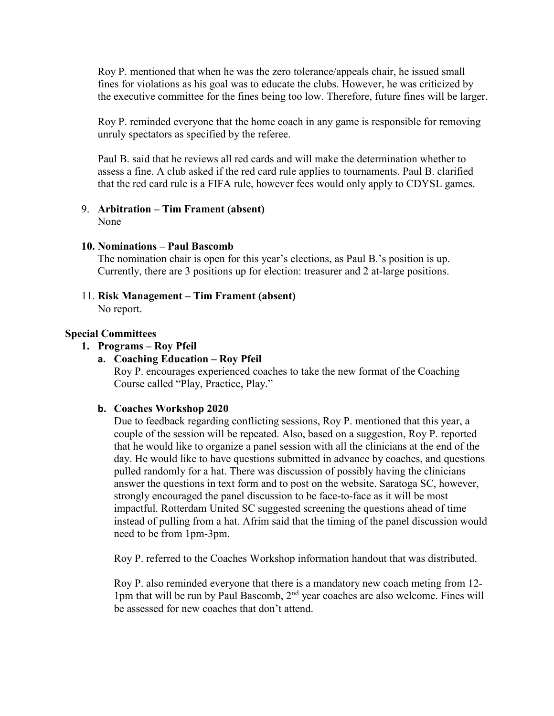Roy P. mentioned that when he was the zero tolerance/appeals chair, he issued small fines for violations as his goal was to educate the clubs. However, he was criticized by the executive committee for the fines being too low. Therefore, future fines will be larger.

Roy P. reminded everyone that the home coach in any game is responsible for removing unruly spectators as specified by the referee.

Paul B. said that he reviews all red cards and will make the determination whether to assess a fine. A club asked if the red card rule applies to tournaments. Paul B. clarified that the red card rule is a FIFA rule, however fees would only apply to CDYSL games.

# 9. **Arbitration – Tim Frament (absent)**

None

## **10. Nominations – Paul Bascomb**

The nomination chair is open for this year's elections, as Paul B.'s position is up. Currently, there are 3 positions up for election: treasurer and 2 at-large positions.

11. **Risk Management – Tim Frament (absent)**

No report.

## **Special Committees**

## **1. Programs – Roy Pfeil**

#### **a. Coaching Education – Roy Pfeil**

Roy P. encourages experienced coaches to take the new format of the Coaching Course called "Play, Practice, Play."

#### **b. Coaches Workshop 2020**

Due to feedback regarding conflicting sessions, Roy P. mentioned that this year, a couple of the session will be repeated. Also, based on a suggestion, Roy P. reported that he would like to organize a panel session with all the clinicians at the end of the day. He would like to have questions submitted in advance by coaches, and questions pulled randomly for a hat. There was discussion of possibly having the clinicians answer the questions in text form and to post on the website. Saratoga SC, however, strongly encouraged the panel discussion to be face-to-face as it will be most impactful. Rotterdam United SC suggested screening the questions ahead of time instead of pulling from a hat. Afrim said that the timing of the panel discussion would need to be from 1pm-3pm.

Roy P. referred to the Coaches Workshop information handout that was distributed.

Roy P. also reminded everyone that there is a mandatory new coach meting from 12- 1pm that will be run by Paul Bascomb, 2nd year coaches are also welcome. Fines will be assessed for new coaches that don't attend.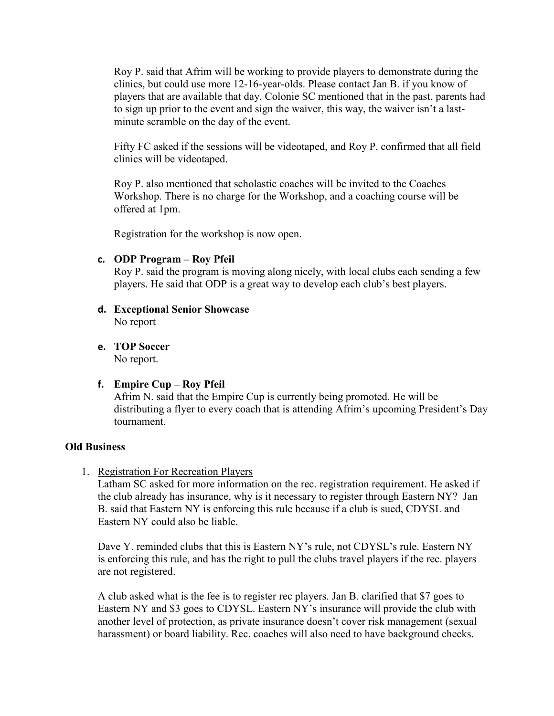Roy P. said that Afrim will be working to provide players to demonstrate during the clinics, but could use more 12-16-year-olds. Please contact Jan B. if you know of players that are available that day. Colonie SC mentioned that in the past, parents had to sign up prior to the event and sign the waiver, this way, the waiver isn't a lastminute scramble on the day of the event.

Fifty FC asked if the sessions will be videotaped, and Roy P. confirmed that all field clinics will be videotaped.

Roy P. also mentioned that scholastic coaches will be invited to the Coaches Workshop. There is no charge for the Workshop, and a coaching course will be offered at 1pm.

Registration for the workshop is now open.

#### **c. ODP Program – Roy Pfeil**

Roy P. said the program is moving along nicely, with local clubs each sending a few players. He said that ODP is a great way to develop each club's best players.

- **d. Exceptional Senior Showcase** No report
- **e. TOP Soccer** No report.
- **f. Empire Cup – Roy Pfeil**

Afrim N. said that the Empire Cup is currently being promoted. He will be distributing a flyer to every coach that is attending Afrim's upcoming President's Day tournament.

#### **Old Business**

1. Registration For Recreation Players

Latham SC asked for more information on the rec. registration requirement. He asked if the club already has insurance, why is it necessary to register through Eastern NY? Jan B. said that Eastern NY is enforcing this rule because if a club is sued, CDYSL and Eastern NY could also be liable.

Dave Y. reminded clubs that this is Eastern NY's rule, not CDYSL's rule. Eastern NY is enforcing this rule, and has the right to pull the clubs travel players if the rec. players are not registered.

A club asked what is the fee is to register rec players. Jan B. clarified that \$7 goes to Eastern NY and \$3 goes to CDYSL. Eastern NY's insurance will provide the club with another level of protection, as private insurance doesn't cover risk management (sexual harassment) or board liability. Rec. coaches will also need to have background checks.